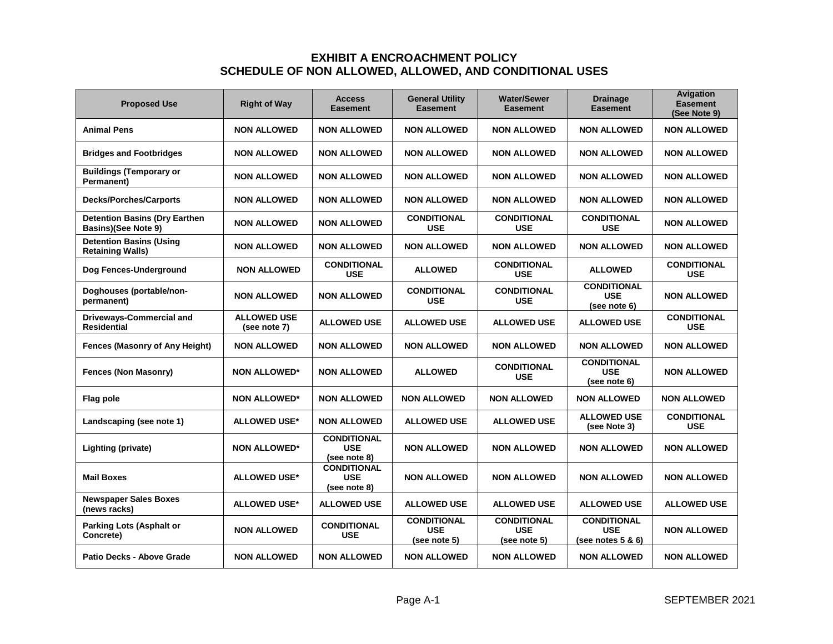| <b>Proposed Use</b>                                                | <b>Right of Way</b>                | <b>Access</b><br><b>Easement</b>                 | <b>General Utility</b><br><b>Easement</b>        | <b>Water/Sewer</b><br><b>Easement</b>            | <b>Drainage</b><br><b>Easement</b>                       | <b>Avigation</b><br><b>Easement</b><br>(See Note 9) |
|--------------------------------------------------------------------|------------------------------------|--------------------------------------------------|--------------------------------------------------|--------------------------------------------------|----------------------------------------------------------|-----------------------------------------------------|
| <b>Animal Pens</b>                                                 | <b>NON ALLOWED</b>                 | <b>NON ALLOWED</b>                               | <b>NON ALLOWED</b>                               | <b>NON ALLOWED</b>                               | <b>NON ALLOWED</b>                                       | <b>NON ALLOWED</b>                                  |
| <b>Bridges and Footbridges</b>                                     | <b>NON ALLOWED</b>                 | <b>NON ALLOWED</b>                               | <b>NON ALLOWED</b>                               | <b>NON ALLOWED</b>                               | <b>NON ALLOWED</b>                                       | <b>NON ALLOWED</b>                                  |
| <b>Buildings (Temporary or</b><br>Permanent)                       | <b>NON ALLOWED</b>                 | <b>NON ALLOWED</b>                               | <b>NON ALLOWED</b>                               | <b>NON ALLOWED</b>                               | <b>NON ALLOWED</b>                                       | <b>NON ALLOWED</b>                                  |
| <b>Decks/Porches/Carports</b>                                      | <b>NON ALLOWED</b>                 | <b>NON ALLOWED</b>                               | <b>NON ALLOWED</b>                               | <b>NON ALLOWED</b>                               | <b>NON ALLOWED</b>                                       | <b>NON ALLOWED</b>                                  |
| <b>Detention Basins (Dry Earthen</b><br><b>Basins)(See Note 9)</b> | <b>NON ALLOWED</b>                 | <b>NON ALLOWED</b>                               | <b>CONDITIONAL</b><br><b>USE</b>                 | <b>CONDITIONAL</b><br><b>USE</b>                 | <b>CONDITIONAL</b><br><b>USE</b>                         | <b>NON ALLOWED</b>                                  |
| <b>Detention Basins (Using</b><br><b>Retaining Walls)</b>          | <b>NON ALLOWED</b>                 | <b>NON ALLOWED</b>                               | <b>NON ALLOWED</b>                               | <b>NON ALLOWED</b>                               | <b>NON ALLOWED</b>                                       | <b>NON ALLOWED</b>                                  |
| Dog Fences-Underground                                             | <b>NON ALLOWED</b>                 | <b>CONDITIONAL</b><br><b>USE</b>                 | <b>ALLOWED</b>                                   | <b>CONDITIONAL</b><br><b>USE</b>                 | <b>ALLOWED</b>                                           | <b>CONDITIONAL</b><br><b>USE</b>                    |
| Doghouses (portable/non-<br>permanent)                             | <b>NON ALLOWED</b>                 | <b>NON ALLOWED</b>                               | <b>CONDITIONAL</b><br><b>USE</b>                 | <b>CONDITIONAL</b><br><b>USE</b>                 | <b>CONDITIONAL</b><br><b>USE</b><br>(see note 6)         | <b>NON ALLOWED</b>                                  |
| <b>Driveways-Commercial and</b><br>Residential                     | <b>ALLOWED USE</b><br>(see note 7) | <b>ALLOWED USE</b>                               | <b>ALLOWED USE</b>                               | <b>ALLOWED USE</b>                               | <b>ALLOWED USE</b>                                       | <b>CONDITIONAL</b><br><b>USE</b>                    |
| Fences (Masonry of Any Height)                                     | <b>NON ALLOWED</b>                 | <b>NON ALLOWED</b>                               | <b>NON ALLOWED</b>                               | <b>NON ALLOWED</b>                               | <b>NON ALLOWED</b>                                       | <b>NON ALLOWED</b>                                  |
| <b>Fences (Non Masonry)</b>                                        | <b>NON ALLOWED*</b>                | <b>NON ALLOWED</b>                               | <b>ALLOWED</b>                                   | <b>CONDITIONAL</b><br><b>USE</b>                 | <b>CONDITIONAL</b><br><b>USE</b><br>(see note 6)         | <b>NON ALLOWED</b>                                  |
| Flag pole                                                          | <b>NON ALLOWED*</b>                | <b>NON ALLOWED</b>                               | <b>NON ALLOWED</b>                               | <b>NON ALLOWED</b>                               | <b>NON ALLOWED</b>                                       | <b>NON ALLOWED</b>                                  |
| Landscaping (see note 1)                                           | <b>ALLOWED USE*</b>                | <b>NON ALLOWED</b>                               | <b>ALLOWED USE</b>                               | <b>ALLOWED USE</b>                               | <b>ALLOWED USE</b><br>(see Note 3)                       | <b>CONDITIONAL</b><br><b>USE</b>                    |
| Lighting (private)                                                 | <b>NON ALLOWED*</b>                | <b>CONDITIONAL</b><br><b>USE</b><br>(see note 8) | <b>NON ALLOWED</b>                               | <b>NON ALLOWED</b>                               | <b>NON ALLOWED</b>                                       | <b>NON ALLOWED</b>                                  |
| <b>Mail Boxes</b>                                                  | <b>ALLOWED USE*</b>                | <b>CONDITIONAL</b><br><b>USE</b><br>(see note 8) | <b>NON ALLOWED</b>                               | <b>NON ALLOWED</b>                               | <b>NON ALLOWED</b>                                       | <b>NON ALLOWED</b>                                  |
| <b>Newspaper Sales Boxes</b><br>(news racks)                       | <b>ALLOWED USE*</b>                | <b>ALLOWED USE</b>                               | <b>ALLOWED USE</b>                               | <b>ALLOWED USE</b>                               | <b>ALLOWED USE</b>                                       | <b>ALLOWED USE</b>                                  |
| <b>Parking Lots (Asphalt or</b><br>Concrete)                       | <b>NON ALLOWED</b>                 | <b>CONDITIONAL</b><br><b>USE</b>                 | <b>CONDITIONAL</b><br><b>USE</b><br>(see note 5) | <b>CONDITIONAL</b><br><b>USE</b><br>(see note 5) | <b>CONDITIONAL</b><br><b>USE</b><br>(see notes $5 & 6$ ) | <b>NON ALLOWED</b>                                  |
| Patio Decks - Above Grade                                          | <b>NON ALLOWED</b>                 | <b>NON ALLOWED</b>                               | <b>NON ALLOWED</b>                               | <b>NON ALLOWED</b>                               | <b>NON ALLOWED</b>                                       | <b>NON ALLOWED</b>                                  |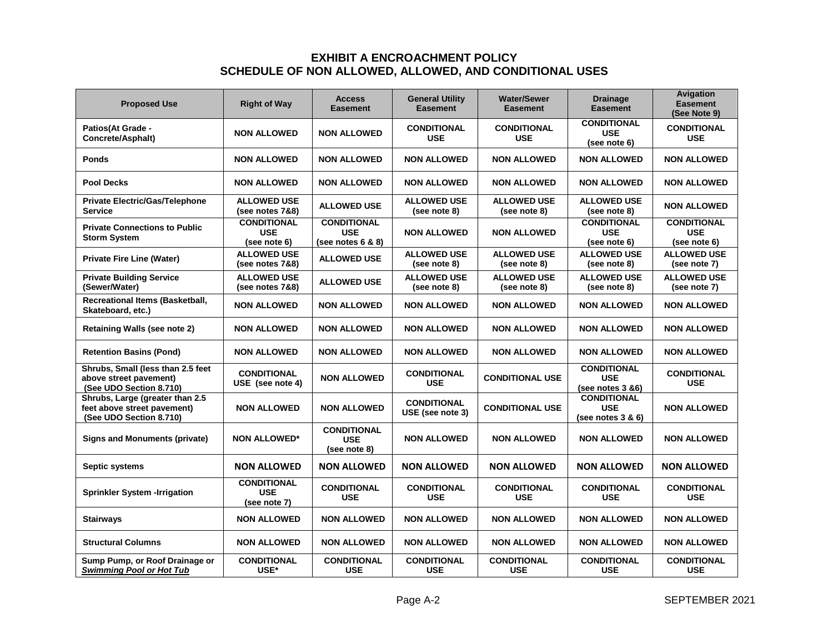| <b>Proposed Use</b>                                                                       | <b>Right of Way</b>                              | <b>Access</b><br><b>Easement</b>                           | <b>General Utility</b><br><b>Easement</b> | <b>Water/Sewer</b><br>Easement     | <b>Drainage</b><br><b>Easement</b>                    | Avigation<br><b>Easement</b><br>(See Note 9)     |
|-------------------------------------------------------------------------------------------|--------------------------------------------------|------------------------------------------------------------|-------------------------------------------|------------------------------------|-------------------------------------------------------|--------------------------------------------------|
| <b>Patios(At Grade -</b><br>Concrete/Asphalt)                                             | <b>NON ALLOWED</b>                               | <b>NON ALLOWED</b>                                         | <b>CONDITIONAL</b><br><b>USE</b>          | <b>CONDITIONAL</b><br><b>USE</b>   | <b>CONDITIONAL</b><br><b>USE</b><br>(see note 6)      | <b>CONDITIONAL</b><br><b>USE</b>                 |
| <b>Ponds</b>                                                                              | <b>NON ALLOWED</b>                               | <b>NON ALLOWED</b>                                         | <b>NON ALLOWED</b>                        | <b>NON ALLOWED</b>                 | <b>NON ALLOWED</b>                                    | <b>NON ALLOWED</b>                               |
| <b>Pool Decks</b>                                                                         | <b>NON ALLOWED</b>                               | <b>NON ALLOWED</b>                                         | <b>NON ALLOWED</b>                        | <b>NON ALLOWED</b>                 | <b>NON ALLOWED</b>                                    | <b>NON ALLOWED</b>                               |
| <b>Private Electric/Gas/Telephone</b><br>Service                                          | <b>ALLOWED USE</b><br>(see notes 7&8)            | <b>ALLOWED USE</b>                                         | <b>ALLOWED USE</b><br>(see note 8)        | <b>ALLOWED USE</b><br>(see note 8) | <b>ALLOWED USE</b><br>(see note 8)                    | <b>NON ALLOWED</b>                               |
| <b>Private Connections to Public</b><br><b>Storm System</b>                               | <b>CONDITIONAL</b><br><b>USE</b><br>(see note 6) | <b>CONDITIONAL</b><br><b>USE</b><br>(see notes $6$ & $8$ ) | <b>NON ALLOWED</b>                        | <b>NON ALLOWED</b>                 | <b>CONDITIONAL</b><br><b>USE</b><br>(see note 6)      | <b>CONDITIONAL</b><br><b>USE</b><br>(see note 6) |
| <b>Private Fire Line (Water)</b>                                                          | <b>ALLOWED USE</b><br>(see notes 7&8)            | <b>ALLOWED USE</b>                                         | <b>ALLOWED USE</b><br>(see note 8)        | <b>ALLOWED USE</b><br>(see note 8) | <b>ALLOWED USE</b><br>(see note 8)                    | <b>ALLOWED USE</b><br>(see note 7)               |
| <b>Private Building Service</b><br>(Sewer/Water)                                          | <b>ALLOWED USE</b><br>(see notes 7&8)            | <b>ALLOWED USE</b>                                         | <b>ALLOWED USE</b><br>(see note 8)        | <b>ALLOWED USE</b><br>(see note 8) | <b>ALLOWED USE</b><br>(see note 8)                    | <b>ALLOWED USE</b><br>(see note 7)               |
| Recreational Items (Basketball,<br>Skateboard, etc.)                                      | <b>NON ALLOWED</b>                               | <b>NON ALLOWED</b>                                         | <b>NON ALLOWED</b>                        | <b>NON ALLOWED</b>                 | <b>NON ALLOWED</b>                                    | <b>NON ALLOWED</b>                               |
| <b>Retaining Walls (see note 2)</b>                                                       | <b>NON ALLOWED</b>                               | <b>NON ALLOWED</b>                                         | <b>NON ALLOWED</b>                        | <b>NON ALLOWED</b>                 | <b>NON ALLOWED</b>                                    | <b>NON ALLOWED</b>                               |
| <b>Retention Basins (Pond)</b>                                                            | <b>NON ALLOWED</b>                               | <b>NON ALLOWED</b>                                         | <b>NON ALLOWED</b>                        | <b>NON ALLOWED</b>                 | <b>NON ALLOWED</b>                                    | <b>NON ALLOWED</b>                               |
| Shrubs, Small (less than 2.5 feet<br>above street pavement)<br>(See UDO Section 8.710)    | <b>CONDITIONAL</b><br>USE (see note 4)           | <b>NON ALLOWED</b>                                         | <b>CONDITIONAL</b><br><b>USE</b>          | <b>CONDITIONAL USE</b>             | <b>CONDITIONAL</b><br><b>USE</b><br>(see notes 3 &6)  | <b>CONDITIONAL</b><br><b>USE</b>                 |
| Shrubs, Large (greater than 2.5<br>feet above street pavement)<br>(See UDO Section 8.710) | <b>NON ALLOWED</b>                               | <b>NON ALLOWED</b>                                         | <b>CONDITIONAL</b><br>USE (see note 3)    | <b>CONDITIONAL USE</b>             | <b>CONDITIONAL</b><br><b>USE</b><br>(see notes 3 & 6) | <b>NON ALLOWED</b>                               |
| <b>Signs and Monuments (private)</b>                                                      | <b>NON ALLOWED*</b>                              | <b>CONDITIONAL</b><br><b>USE</b><br>(see note 8)           | <b>NON ALLOWED</b>                        | <b>NON ALLOWED</b>                 | <b>NON ALLOWED</b>                                    | <b>NON ALLOWED</b>                               |
| Septic systems                                                                            | <b>NON ALLOWED</b>                               | <b>NON ALLOWED</b>                                         | <b>NON ALLOWED</b>                        | NON ALLOWED                        | <b>NON ALLOWED</b>                                    | NON ALLOWED                                      |
| <b>Sprinkler System -Irrigation</b>                                                       | <b>CONDITIONAL</b><br><b>USE</b><br>(see note 7) | <b>CONDITIONAL</b><br><b>USE</b>                           | <b>CONDITIONAL</b><br><b>USE</b>          | <b>CONDITIONAL</b><br>USE          | <b>CONDITIONAL</b><br><b>USE</b>                      | <b>CONDITIONAL</b><br><b>USE</b>                 |
| Stairways                                                                                 | <b>NON ALLOWED</b>                               | <b>NON ALLOWED</b>                                         | <b>NON ALLOWED</b>                        | <b>NON ALLOWED</b>                 | <b>NON ALLOWED</b>                                    | <b>NON ALLOWED</b>                               |
| <b>Structural Columns</b>                                                                 | <b>NON ALLOWED</b>                               | <b>NON ALLOWED</b>                                         | <b>NON ALLOWED</b>                        | <b>NON ALLOWED</b>                 | <b>NON ALLOWED</b>                                    | <b>NON ALLOWED</b>                               |
| Sump Pump, or Roof Drainage or<br><b>Swimming Pool or Hot Tub</b>                         | <b>CONDITIONAL</b><br>USE*                       | <b>CONDITIONAL</b><br><b>USE</b>                           | <b>CONDITIONAL</b><br><b>USE</b>          | <b>CONDITIONAL</b><br><b>USE</b>   | <b>CONDITIONAL</b><br><b>USE</b>                      | <b>CONDITIONAL</b><br><b>USE</b>                 |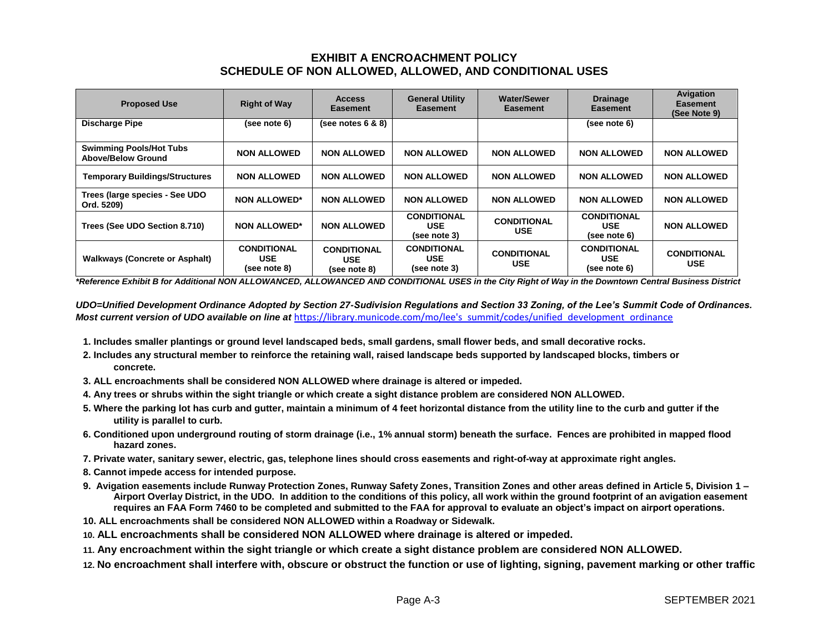| <b>Proposed Use</b>                                         | <b>Right of Way</b>                              | <b>Access</b><br><b>Easement</b>                 | <b>General Utility</b><br><b>Easement</b>        | <b>Water/Sewer</b><br><b>Easement</b> | <b>Drainage</b><br><b>Easement</b>               | Avigation<br><b>Easement</b><br>(See Note 9) |
|-------------------------------------------------------------|--------------------------------------------------|--------------------------------------------------|--------------------------------------------------|---------------------------------------|--------------------------------------------------|----------------------------------------------|
| <b>Discharge Pipe</b>                                       | (see note 6)                                     | (see notes $6$ & $8$ )                           |                                                  |                                       | (see note 6)                                     |                                              |
| <b>Swimming Pools/Hot Tubs</b><br><b>Above/Below Ground</b> | <b>NON ALLOWED</b>                               | <b>NON ALLOWED</b>                               | <b>NON ALLOWED</b>                               | <b>NON ALLOWED</b>                    | <b>NON ALLOWED</b>                               | <b>NON ALLOWED</b>                           |
| <b>Temporary Buildings/Structures</b>                       | <b>NON ALLOWED</b>                               | <b>NON ALLOWED</b>                               | <b>NON ALLOWED</b>                               | <b>NON ALLOWED</b>                    | <b>NON ALLOWED</b>                               | <b>NON ALLOWED</b>                           |
| Trees (large species - See UDO<br>Ord. 5209)                | <b>NON ALLOWED*</b>                              | <b>NON ALLOWED</b>                               | <b>NON ALLOWED</b>                               | <b>NON ALLOWED</b>                    | <b>NON ALLOWED</b>                               | <b>NON ALLOWED</b>                           |
| Trees (See UDO Section 8.710)                               | <b>NON ALLOWED*</b>                              | <b>NON ALLOWED</b>                               | <b>CONDITIONAL</b><br><b>USE</b><br>(see note 3) | <b>CONDITIONAL</b><br><b>USE</b>      | <b>CONDITIONAL</b><br><b>USE</b><br>(see note 6) | <b>NON ALLOWED</b>                           |
| <b>Walkways (Concrete or Asphalt)</b>                       | <b>CONDITIONAL</b><br><b>USE</b><br>(see note 8) | <b>CONDITIONAL</b><br><b>USE</b><br>(see note 8) | <b>CONDITIONAL</b><br><b>USE</b><br>(see note 3) | <b>CONDITIONAL</b><br><b>USE</b>      | <b>CONDITIONAL</b><br><b>USE</b><br>(see note 6) | <b>CONDITIONAL</b><br><b>USE</b>             |

*\*Reference Exhibit B for Additional NON ALLOWANCED, ALLOWANCED AND CONDITIONAL USES in the City Right of Way in the Downtown Central Business District*

*UDO=Unified Development Ordinance Adopted by Section 27-Sudivision Regulations and Section 33 Zoning, of the Lee's Summit Code of Ordinances.*  Most current version of UDO available on line at https://library.municode.com/mo/lee's summit/codes/unified development ordinance

- **1. Includes smaller plantings or ground level landscaped beds, small gardens, small flower beds, and small decorative rocks.**
- **2. Includes any structural member to reinforce the retaining wall, raised landscape beds supported by landscaped blocks, timbers or concrete.**
- **3. ALL encroachments shall be considered NON ALLOWED where drainage is altered or impeded.**
- **4. Any trees or shrubs within the sight triangle or which create a sight distance problem are considered NON ALLOWED.**
- **5. Where the parking lot has curb and gutter, maintain a minimum of 4 feet horizontal distance from the utility line to the curb and gutter if the utility is parallel to curb.**
- **6. Conditioned upon underground routing of storm drainage (i.e., 1% annual storm) beneath the surface. Fences are prohibited in mapped flood hazard zones.**
- **7. Private water, sanitary sewer, electric, gas, telephone lines should cross easements and right-of-way at approximate right angles.**
- **8. Cannot impede access for intended purpose.**
- **9. Avigation easements include Runway Protection Zones, Runway Safety Zones, Transition Zones and other areas defined in Article 5, Division 1 – Airport Overlay District, in the UDO. In addition to the conditions of this policy, all work within the ground footprint of an avigation easement requires an FAA Form 7460 to be completed and submitted to the FAA for approval to evaluate an object's impact on airport operations.**
- **10. ALL encroachments shall be considered NON ALLOWED within a Roadway or Sidewalk.**
- **10. ALL encroachments shall be considered NON ALLOWED where drainage is altered or impeded.**
- **11. Any encroachment within the sight triangle or which create a sight distance problem are considered NON ALLOWED.**
- **12. No encroachment shall interfere with, obscure or obstruct the function or use of lighting, signing, pavement marking or other traffic**